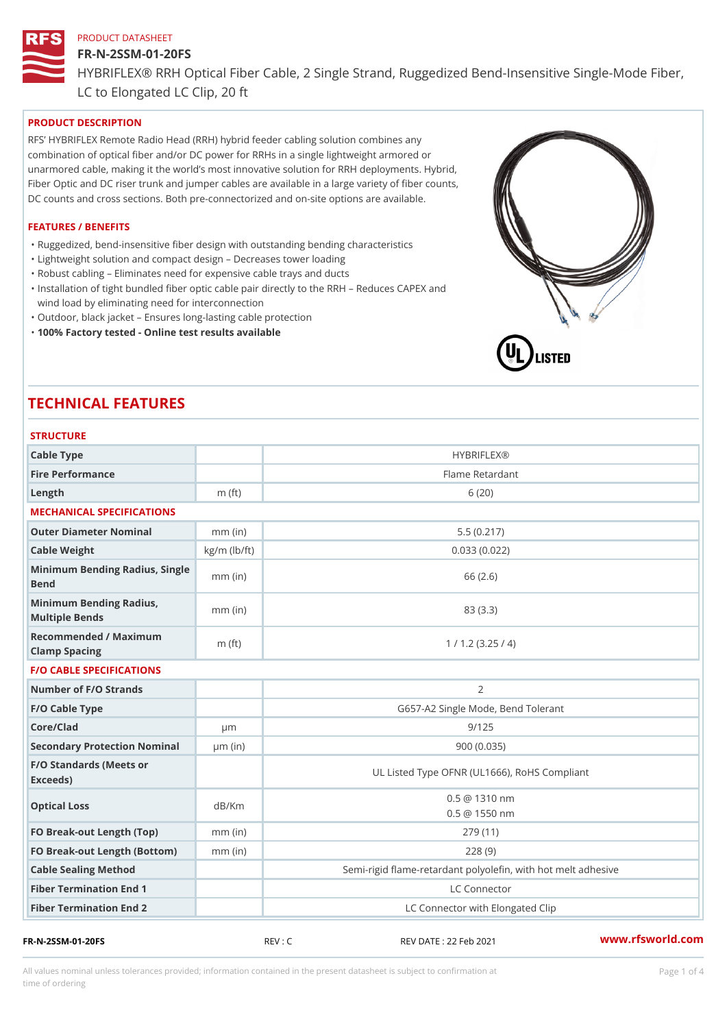#### FR-N-2SSM-01-20FS

HYBRIFLEX® RRH Optical Fiber Cable, 2 Single Strand, Ruggedized Be

LC to Elongated LC Clip, 20 ft

## PRODUCT DESCRIPTION

RFS HYBRIFLEX Remote Radio Head (RRH) hybrid feeder cabling solution combines any combination of optical fiber and/or DC power for RRHs in a single lightweight armored or unarmored cable, making it the world s most innovative solution for RRH deployments. Hybrid, Fiber Optic and DC riser trunk and jumper cables are available in a large variety of fiber counts, DC counts and cross sections. Both pre-connectorized and on-site options are available.

#### FEATURES / BENEFITS

"Ruggedized, bend-insensitive fiber design with outstanding bending characteristics

- "Lightweight solution and compact design Decreases tower loading
- "Robust cabling Eliminates need for expensive cable trays and ducts
- "Installation of tight bundled fiber optic cable pair directly to the RRH Aeduces CAPEX and wind load by eliminating need for interconnection
- "Outdoor, black jacket Ensures long-lasting cable protection
- "100% Factory tested Online test results available

# TECHNICAL FEATURES

## **STRUCTURE**

| Cable Type                                        |                    | <b>HYBRIFLEX®</b>                                                       |
|---------------------------------------------------|--------------------|-------------------------------------------------------------------------|
| Fire Performance                                  |                    | Flame Retardant                                                         |
| Length                                            | $m$ (ft)           | 6(20)                                                                   |
| MECHANICAL SPECIFICATIONS                         |                    |                                                                         |
| Outer Diameter Nominal                            | $mm$ (in)          | 5.5(0.217)                                                              |
| Cable Weight                                      | $kg/m$ ( $lb/ft$ ) | 0.033(0.022)                                                            |
| Minimum Bending Radius, Single<br>mm (in<br>Bend  |                    | 66 (2.6)                                                                |
| Minimum Bending Radius, mm (in)<br>Multiple Bends |                    | 83 (3.3)                                                                |
| Recommended / Maximum<br>Clamp Spacing            | $m$ (ft)           | 1 / 1.2 (3.25 / 4)                                                      |
| <b>F/O CABLE SPECIFICATIONS</b>                   |                    |                                                                         |
| Number of F/O Strands                             |                    | 2                                                                       |
| F/O Cable Type                                    |                    | G657-A2 Single Mode, Bend Tolerant                                      |
| Core/Clad                                         | $\mu$ m            | 9/125                                                                   |
| Secondary Protection Nomimal(in)                  |                    | 900(0.035)                                                              |
| F/O Standards (Meets or<br>Exceeds)               |                    | UL Listed Type OFNR (UL1666), RoHS Compliant                            |
| Optical Loss                                      | dB/Km              | $0.5 \ @ \ 1310 \ nm$<br>$0.5 \t@ 1550 nm$                              |
| FO Break-out Length (Top)mm (in)                  |                    | 279 (11)                                                                |
| FO Break-out Length (Bottomm) (in)                |                    | 228(9)                                                                  |
|                                                   |                    |                                                                         |
| Cable Sealing Method                              |                    |                                                                         |
| Fiber Termination End                             |                    | Semi-rigid flame-retardant polyolefin, with hot melt ad<br>LC Connector |

All values nominal unless tolerances provided; information contained in the present datasheet is subject to Pcapgeligimation time of ordering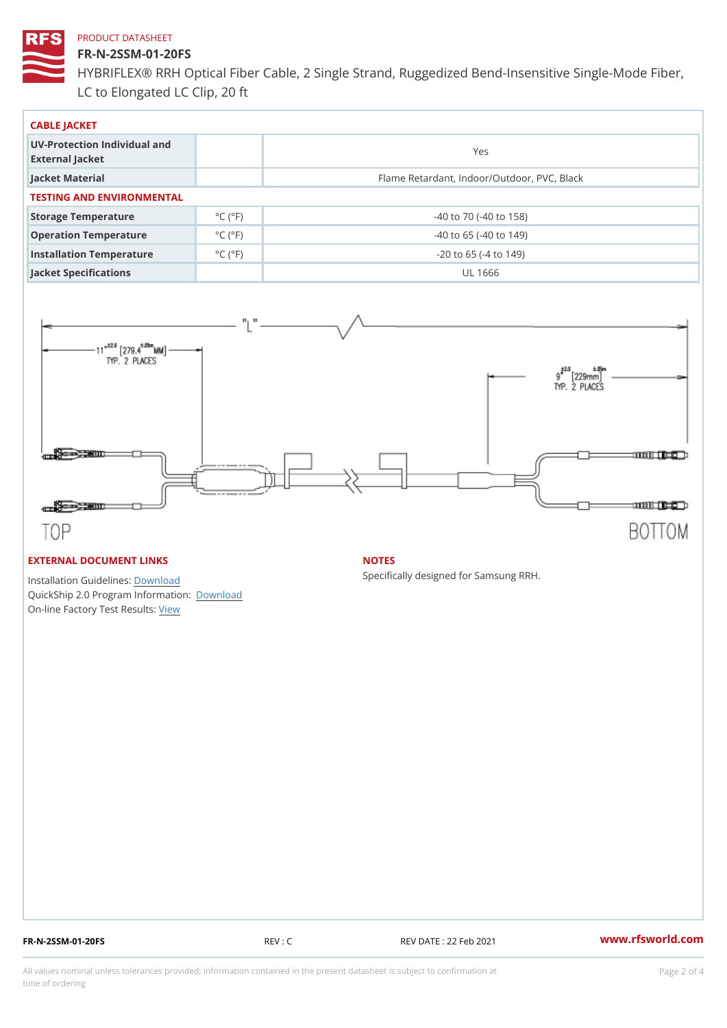## FR-N-2SSM-01-20FS

HYBRIFLEX® RRH Optical Fiber Cable, 2 Single Strand, Ruggedized Be LC to Elongated LC Clip, 20 ft

| CABLE JACKET                                    |                             |                                             |  |  |  |
|-------------------------------------------------|-----------------------------|---------------------------------------------|--|--|--|
| UV-Protection Individual and<br>External Jacket |                             | Yes                                         |  |  |  |
| Jacket Material                                 |                             | Flame Retardant, Indoor/Outdoor, PVC, Black |  |  |  |
| TESTING AND ENVIRONMENTAL                       |                             |                                             |  |  |  |
| Storage Temperature                             | $^{\circ}$ C ( $^{\circ}$ F | $-40$ to $70$ ( $-40$ to $158$ )            |  |  |  |
| Operation Temperature                           | $^{\circ}$ C ( $^{\circ}$ F | $-40$ to 65 ( $-40$ to 149)                 |  |  |  |
| Installation Temperature                        | $^{\circ}$ C ( $^{\circ}$ F | $-20$ to 65 ( $-4$ to 149)                  |  |  |  |
| Jacket Specifications                           |                             | UL 1666                                     |  |  |  |

#### EXTERNAL DOCUMENT LINKS

Installation Guidelwinessad QuickShip 2.0 Program IDfoormlation: On-line Factory Te[s](https://www.rfsworld.com/pictures/userfiles/programs/AAST Latest Version.zip)teResults:

#### NOTES

Specifically designed for Samsung RRH.

FR-N-2SSM-01-20FS REV : C REV DATE : 22 Feb 2021 [www.](https://www.rfsworld.com)rfsworld.com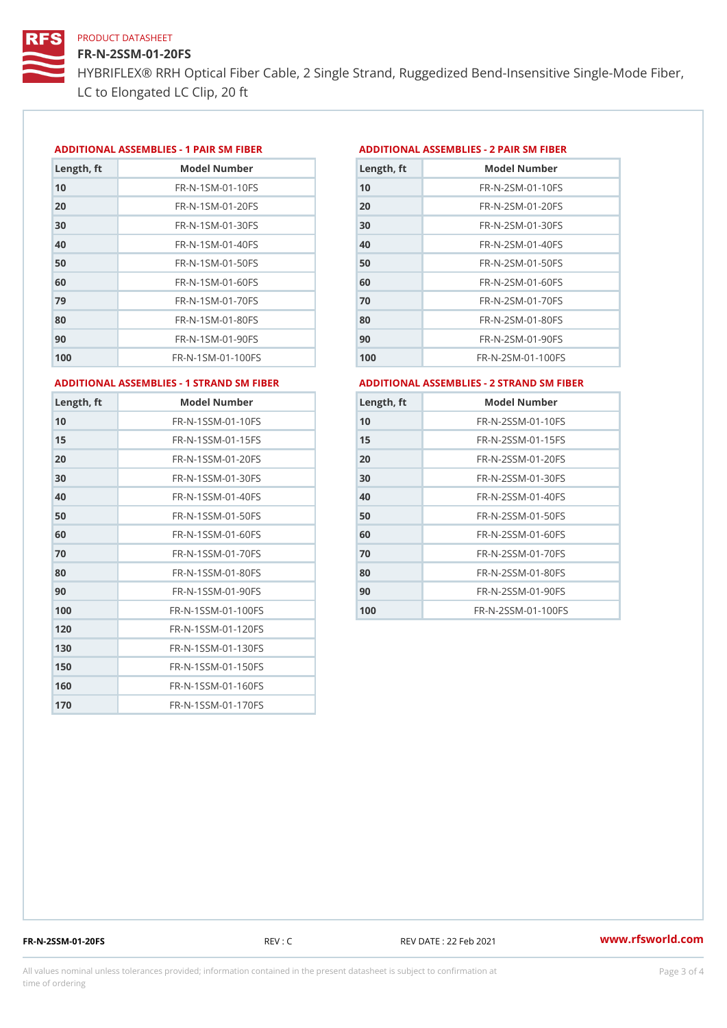## FR-N-2SSM-01-20FS

HYBRIFLEX® RRH Optical Fiber Cable, 2 Single Strand, Ruggedized Be LC to Elongated LC Clip, 20 ft

#### ADDITIONAL ASSEMBLIES - 1 PAIR SM FIBERED DITIONAL ASSEMBLIES - 2 PAIR SM FIBER

| Length, ft | Model Number                   |
|------------|--------------------------------|
| 10         | $FR - N - 1$ S M - 01 - 10 F S |
| 20         | $FR - N - 1$ S M - 01 - 20 F S |
| 30         | FR-N-1SM-01-30FS               |
| 40         | $FR - N - 1$ SM - 01 - 40 F S  |
| 50         | FR-N-1SM-01-50FS               |
| 60         | $FR - N - 1$ SM - 01 - 60 F S  |
| 79         | FR-N-1SM-01-70FS               |
| 80         | $FR - N - 1$ SM - 01 - 80 F S  |
| 90         | FR-N-1SM-01-90FS               |
| 100        | FR-N-1SM-01-100FS              |

| Length, ft | Model Number                   |
|------------|--------------------------------|
| 10         | $FR - N - 2 S M - 01 - 10 F S$ |
| 20         | $FR - N - 2 S M - 01 - 20 F S$ |
| 30         | $FR - N - 2 S M - 01 - 30 F S$ |
| 40         | $FR - N - 2 SM - 01 - 40 FS$   |
| 50         | $FR - N - 2 S M - 01 - 50 F S$ |
| 60         | $FR - N - 2 S M - 01 - 60 F S$ |
| 70         | $FR - N - 2 S M - 01 - 70 F S$ |
| 80         | $FR - N - 2SM - 01 - 80FS$     |
| 90         | $FR - N - 2 S M - 01 - 90 F S$ |
| 100        | FR-N-2SM-01-100FS              |
|            |                                |

ADDITIONAL ASSEMBLIES - 1 STRAND SM FABSDRTIONAL ASSEMBLIES - 2 STRAND SM FIBER

| Length, ft | Model Number                     |
|------------|----------------------------------|
| 10         | FR-N-1SSM-01-10FS                |
| 15         | FR-N-1SSM-01-15FS                |
| 20         | FR-N-1SSM-01-20FS                |
| 30         | FR-N-1SSM-01-30FS                |
| 40         | FR-N-1SSM-01-40FS                |
| 50         | $FR - N - 1$ S S M - 01 - 50 F S |
| 60         | FR-N-1SSM-01-60FS                |
| 70         | FR-N-1SSM-01-70FS                |
| 80         | FR-N-1SSM-01-80FS                |
| 90         | FR-N-1SSM-01-90FS                |
| 100        | FR-N-1SSM-01-100FS               |
| 120        | FR-N-1SSM-01-120FS               |
| 130        | FR-N-1SSM-01-130FS               |
| 150        | FR-N-1SSM-01-150FS               |
| 160        | FR-N-1SSM-01-160F\$              |
| 170        | FR-N-1SSM-01-170FS               |

| Length, ft | Model Number                     |
|------------|----------------------------------|
| 10         | $FR - N - 2$ S S M - 01 - 10 F S |
| 15         | FR-N-2SSM-01-15FS                |
| 20         | $FR - N - 2$ S S M - 01 - 20 F S |
| 30         | FR-N-2SSM-01-30FS                |
| 40         | $FR - N - 2$ S S M - 01 - 40 F S |
| 50         | FR-N-2SSM-01-50FS                |
| 60         | FR-N-2SSM-01-60FS                |
| 70         | FR-N-2SSM-01-70FS                |
| 80         | FR-N-2SSM-01-80FS                |
| 90         | $FR - N - 2$ S S M - 01 - 90 F S |
| 100        | FR-N-2SSM-01-100FS               |

FR-N-2SSM-01-20FS REV : C REV DATE : 22 Feb 2021 [www.](https://www.rfsworld.com)rfsworld.com

All values nominal unless tolerances provided; information contained in the present datasheet is subject to Pcapgeling that i time of ordering